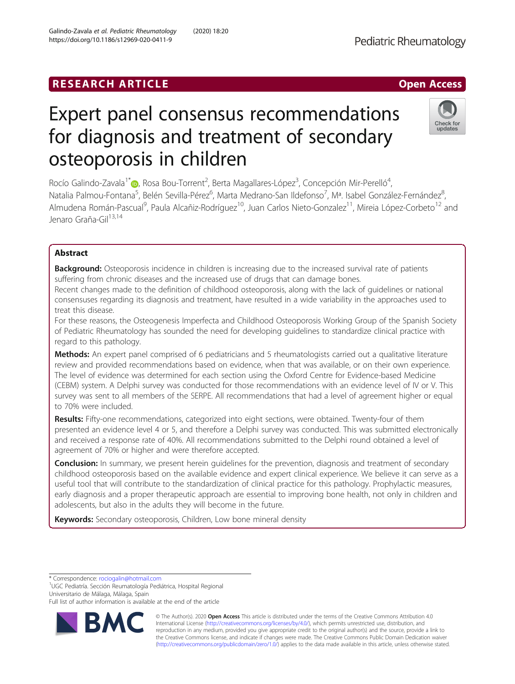## **RESEARCH ARTICLE Example 2018 12:00 Department 2018 12:00 Department 2018 12:00 Department 2018 12:00 Department 2018 12:00 Department 2018 12:00 Department 2018 12:00 Department 2018 12:00 Department 2018 12:00 Departm**

# Expert panel consensus recommendations for diagnosis and treatment of secondary osteoporosis in children

Rocío Galindo-Zavala<sup>1[\\*](http://orcid.org/0000-0002-0595-2153)</sup> (**D**, Rosa Bou-Torrent<sup>2</sup>, Berta Magallares-López<sup>3</sup>, Concepción Mir-Perelló<sup>4</sup> , Natalia Palmou-Fontana<sup>5</sup>, Belén Sevilla-Pérez<sup>6</sup>, Marta Medrano-San Ildefonso<sup>7</sup>, Mª. Isabel González-Fernández<sup>8</sup> , Almudena Román-Pascual<sup>9</sup>, Paula Alcañiz-Rodríguez<sup>10</sup>, Juan Carlos Nieto-Gonzalez<sup>11</sup>, Mireia López-Corbeto<sup>12</sup> and Jenaro Graña-Gil<sup>13,14</sup>

## Abstract

Background: Osteoporosis incidence in children is increasing due to the increased survival rate of patients suffering from chronic diseases and the increased use of drugs that can damage bones.

Recent changes made to the definition of childhood osteoporosis, along with the lack of guidelines or national consensuses regarding its diagnosis and treatment, have resulted in a wide variability in the approaches used to treat this disease.

For these reasons, the Osteogenesis Imperfecta and Childhood Osteoporosis Working Group of the Spanish Society of Pediatric Rheumatology has sounded the need for developing guidelines to standardize clinical practice with regard to this pathology.

Methods: An expert panel comprised of 6 pediatricians and 5 rheumatologists carried out a qualitative literature review and provided recommendations based on evidence, when that was available, or on their own experience. The level of evidence was determined for each section using the Oxford Centre for Evidence-based Medicine (CEBM) system. A Delphi survey was conducted for those recommendations with an evidence level of IV or V. This survey was sent to all members of the SERPE. All recommendations that had a level of agreement higher or equal to 70% were included.

Results: Fifty-one recommendations, categorized into eight sections, were obtained. Twenty-four of them presented an evidence level 4 or 5, and therefore a Delphi survey was conducted. This was submitted electronically and received a response rate of 40%. All recommendations submitted to the Delphi round obtained a level of agreement of 70% or higher and were therefore accepted.

Conclusion: In summary, we present herein quidelines for the prevention, diagnosis and treatment of secondary childhood osteoporosis based on the available evidence and expert clinical experience. We believe it can serve as a useful tool that will contribute to the standardization of clinical practice for this pathology. Prophylactic measures, early diagnosis and a proper therapeutic approach are essential to improving bone health, not only in children and adolescents, but also in the adults they will become in the future.

Keywords: Secondary osteoporosis, Children, Low bone mineral density

UGC Pediatría. Sección Reumatología Pediátrica, Hospital Regional Universitario de Málaga, Málaga, Spain

Full list of author information is available at the end of the article

© The Author(s). 2020 **Open Access** This article is distributed under the terms of the Creative Commons Attribution 4.0 International License [\(http://creativecommons.org/licenses/by/4.0/](http://creativecommons.org/licenses/by/4.0/)), which permits unrestricted use, distribution, and reproduction in any medium, provided you give appropriate credit to the original author(s) and the source, provide a link to the Creative Commons license, and indicate if changes were made. The Creative Commons Public Domain Dedication waiver [\(http://creativecommons.org/publicdomain/zero/1.0/](http://creativecommons.org/publicdomain/zero/1.0/)) applies to the data made available in this article, unless otherwise stated.

\* Correspondence: [rociogalin@hotmail.com](mailto:rociogalin@hotmail.com) <sup>1</sup>

R,





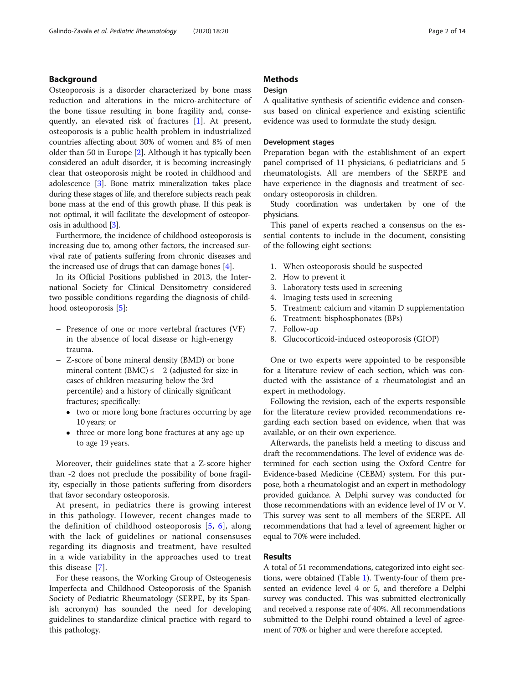## Background

Osteoporosis is a disorder characterized by bone mass reduction and alterations in the micro-architecture of the bone tissue resulting in bone fragility and, consequently, an elevated risk of fractures [[1\]](#page-10-0). At present, osteoporosis is a public health problem in industrialized countries affecting about 30% of women and 8% of men older than 50 in Europe [\[2](#page-10-0)]. Although it has typically been considered an adult disorder, it is becoming increasingly clear that osteoporosis might be rooted in childhood and adolescence [[3](#page-10-0)]. Bone matrix mineralization takes place during these stages of life, and therefore subjects reach peak bone mass at the end of this growth phase. If this peak is not optimal, it will facilitate the development of osteoporosis in adulthood [\[3](#page-10-0)].

Furthermore, the incidence of childhood osteoporosis is increasing due to, among other factors, the increased survival rate of patients suffering from chronic diseases and the increased use of drugs that can damage bones [[4](#page-10-0)].

In its Official Positions published in 2013, the International Society for Clinical Densitometry considered two possible conditions regarding the diagnosis of childhood osteoporosis [\[5](#page-10-0)]:

- Presence of one or more vertebral fractures (VF) in the absence of local disease or high-energy trauma.
- Z-score of bone mineral density (BMD) or bone mineral content (BMC)  $\le -2$  (adjusted for size in cases of children measuring below the 3rd percentile) and a history of clinically significant fractures; specifically:
	- two or more long bone fractures occurring by age 10 years; or
	- three or more long bone fractures at any age up to age 19 years.

Moreover, their guidelines state that a Z-score higher than -2 does not preclude the possibility of bone fragility, especially in those patients suffering from disorders that favor secondary osteoporosis.

At present, in pediatrics there is growing interest in this pathology. However, recent changes made to the definition of childhood osteoporosis [[5,](#page-10-0) [6](#page-10-0)], along with the lack of guidelines or national consensuses regarding its diagnosis and treatment, have resulted in a wide variability in the approaches used to treat this disease [\[7](#page-10-0)].

For these reasons, the Working Group of Osteogenesis Imperfecta and Childhood Osteoporosis of the Spanish Society of Pediatric Rheumatology (SERPE, by its Spanish acronym) has sounded the need for developing guidelines to standardize clinical practice with regard to this pathology.

## Methods

### Design

A qualitative synthesis of scientific evidence and consensus based on clinical experience and existing scientific evidence was used to formulate the study design.

#### Development stages

Preparation began with the establishment of an expert panel comprised of 11 physicians, 6 pediatricians and 5 rheumatologists. All are members of the SERPE and have experience in the diagnosis and treatment of secondary osteoporosis in children.

Study coordination was undertaken by one of the physicians.

This panel of experts reached a consensus on the essential contents to include in the document, consisting of the following eight sections:

- 1. When osteoporosis should be suspected
- 2. How to prevent it
- 3. Laboratory tests used in screening
- 4. Imaging tests used in screening
- 5. Treatment: calcium and vitamin D supplementation
- 6. Treatment: bisphosphonates (BPs)
- 7. Follow-up
- 8. Glucocorticoid-induced osteoporosis (GIOP)

One or two experts were appointed to be responsible for a literature review of each section, which was conducted with the assistance of a rheumatologist and an expert in methodology.

Following the revision, each of the experts responsible for the literature review provided recommendations regarding each section based on evidence, when that was available, or on their own experience.

Afterwards, the panelists held a meeting to discuss and draft the recommendations. The level of evidence was determined for each section using the Oxford Centre for Evidence-based Medicine (CEBM) system. For this purpose, both a rheumatologist and an expert in methodology provided guidance. A Delphi survey was conducted for those recommendations with an evidence level of IV or V. This survey was sent to all members of the SERPE. All recommendations that had a level of agreement higher or equal to 70% were included.

## Results

A total of 51 recommendations, categorized into eight sections, were obtained (Table [1](#page-2-0)). Twenty-four of them presented an evidence level 4 or 5, and therefore a Delphi survey was conducted. This was submitted electronically and received a response rate of 40%. All recommendations submitted to the Delphi round obtained a level of agreement of 70% or higher and were therefore accepted.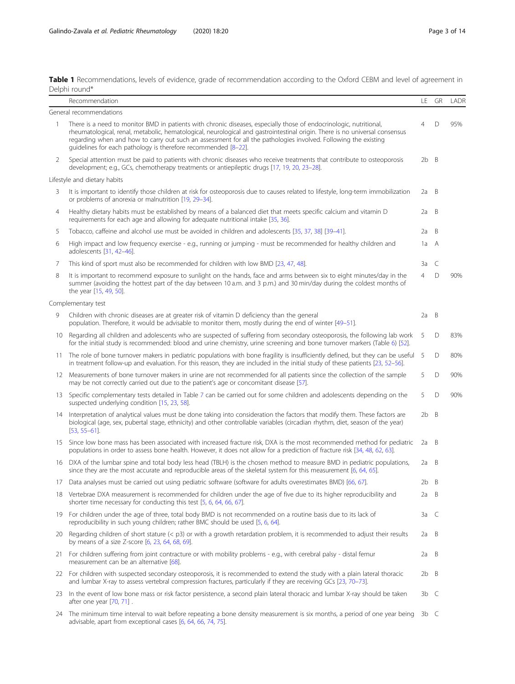<span id="page-2-0"></span>Table 1 Recommendations, levels of evidence, grade of recommendation according to the Oxford CEBM and level of agreement in Delphi round\*

|     | Recommendation                                                                                                                                                                                                                                                                                                                                                                                                                         | LE             | GR  | LADF |
|-----|----------------------------------------------------------------------------------------------------------------------------------------------------------------------------------------------------------------------------------------------------------------------------------------------------------------------------------------------------------------------------------------------------------------------------------------|----------------|-----|------|
|     | General recommendations                                                                                                                                                                                                                                                                                                                                                                                                                |                |     |      |
| 1   | There is a need to monitor BMD in patients with chronic diseases, especially those of endocrinologic, nutritional,<br>rheumatological, renal, metabolic, hematological, neurological and gastrointestinal origin. There is no universal consensus<br>regarding when and how to carry out such an assessment for all the pathologies involved. Following the existing<br>guidelines for each pathology is therefore recommended [8-22]. | 4              | Ð   | 95%  |
| 2   | Special attention must be paid to patients with chronic diseases who receive treatments that contribute to osteoporosis<br>development; e.g., GCs, chemotherapy treatments or antiepileptic drugs [17, 19, 20, 23–28].                                                                                                                                                                                                                 | $2b$ B         |     |      |
|     | Lifestyle and dietary habits                                                                                                                                                                                                                                                                                                                                                                                                           |                |     |      |
| 3   | It is important to identify those children at risk for osteoporosis due to causes related to lifestyle, long-term immobilization<br>or problems of anorexia or malnutrition [19, 29-34].                                                                                                                                                                                                                                               | 2a             | - B |      |
| 4   | Healthy dietary habits must be established by means of a balanced diet that meets specific calcium and vitamin D<br>requirements for each age and allowing for adequate nutritional intake [35, 36].                                                                                                                                                                                                                                   | 2a             | - B |      |
| 5   | Tobacco, caffeine and alcohol use must be avoided in children and adolescents [35, 37, 38] [39–41].                                                                                                                                                                                                                                                                                                                                    | 2a             | B   |      |
| 6   | High impact and low frequency exercise - e.g., running or jumping - must be recommended for healthy children and<br>adolescents [31, 42-46].                                                                                                                                                                                                                                                                                           | 1a             | A   |      |
| 7   | This kind of sport must also be recommended for children with low BMD [23, 47, 48].                                                                                                                                                                                                                                                                                                                                                    | 3a             | C   |      |
| 8   | It is important to recommend exposure to sunlight on the hands, face and arms between six to eight minutes/day in the<br>summer (avoiding the hottest part of the day between 10 a.m. and 3 p.m.) and 30 min/day during the coldest months of<br>the year [15, 49, 50].                                                                                                                                                                | $\overline{4}$ | D   | 90%  |
|     | Complementary test                                                                                                                                                                                                                                                                                                                                                                                                                     |                |     |      |
| 9   | Children with chronic diseases are at greater risk of vitamin D deficiency than the general<br>population. Therefore, it would be advisable to monitor them, mostly during the end of winter [49-51].                                                                                                                                                                                                                                  | 2a             | B   |      |
| 10  | Regarding all children and adolescents who are suspected of suffering from secondary osteoporosis, the following lab work<br>for the initial study is recommended: blood and urine chemistry, urine screening and bone turnover markers (Table 6) [52].                                                                                                                                                                                | 5              | D   | 83%  |
| 11. | The role of bone turnover makers in pediatric populations with bone fragility is insufficiently defined, but they can be useful<br>in treatment follow-up and evaluation. For this reason, they are included in the initial study of these patients [23, 52-56].                                                                                                                                                                       | 5              | D   | 80%  |
|     | 12 Measurements of bone turnover makers in urine are not recommended for all patients since the collection of the sample<br>may be not correctly carried out due to the patient's age or concomitant disease [57].                                                                                                                                                                                                                     | 5              | D   | 90%  |
|     | 13 Specific complementary tests detailed in Table 7 can be carried out for some children and adolescents depending on the<br>suspected underlying condition [15, 23, 58].                                                                                                                                                                                                                                                              | 5              | D   | 90%  |
| 14  | Interpretation of analytical values must be done taking into consideration the factors that modify them. These factors are<br>biological (age, sex, pubertal stage, ethnicity) and other controllable variables (circadian rhythm, diet, season of the year)<br>$[53, 55 - 61]$ .                                                                                                                                                      | $2b$ B         |     |      |
| 15  | Since low bone mass has been associated with increased fracture risk, DXA is the most recommended method for pediatric<br>populations in order to assess bone health. However, it does not allow for a prediction of fracture risk [34, 48, 62, 63].                                                                                                                                                                                   | 2a             | - B |      |
| 16  | DXA of the lumbar spine and total body less head (TBLH) is the chosen method to measure BMD in pediatric populations,<br>since they are the most accurate and reproducible areas of the skeletal system for this measurement [6, 64, 65].                                                                                                                                                                                              | 2a             | - B |      |
| 17  | Data analyses must be carried out using pediatric software (software for adults overestimates BMD) [66, 67].                                                                                                                                                                                                                                                                                                                           | 2b             | B   |      |
|     | 18 Vertebrae DXA measurement is recommended for children under the age of five due to its higher reproducibility and<br>shorter time necessary for conducting this test [5, 6, 64, 66, 67].                                                                                                                                                                                                                                            | $2a \quad B$   |     |      |
|     | 19 For children under the age of three, total body BMD is not recommended on a routine basis due to its lack of<br>reproducibility in such young children; rather BMC should be used [5, 6, 64].                                                                                                                                                                                                                                       | 3a C           |     |      |
| 20  | Regarding children of short stature $(<$ $p3$ ) or with a growth retardation problem, it is recommended to adjust their results<br>by means of a size Z-score [6, 23, 64, 68, 69].                                                                                                                                                                                                                                                     | 2a             | - B |      |
| 21  | For children suffering from joint contracture or with mobility problems - e.g., with cerebral palsy - distal femur<br>measurement can be an alternative [68].                                                                                                                                                                                                                                                                          | 2a             | - B |      |
|     | 22 For children with suspected secondary osteoporosis, it is recommended to extend the study with a plain lateral thoracic<br>and lumbar X-ray to assess vertebral compression fractures, particularly if they are receiving GCs [23, 70-73].                                                                                                                                                                                          | $2b$ B         |     |      |
| 23  | In the event of low bone mass or risk factor persistence, a second plain lateral thoracic and lumbar X-ray should be taken<br>after one year [70, 71].                                                                                                                                                                                                                                                                                 | $3b$ C         |     |      |
| 24  | The minimum time interval to wait before repeating a bone density measurement is six months, a period of one year being<br>advisable, apart from exceptional cases [6, 64, 66, 74, 75].                                                                                                                                                                                                                                                | 3b C           |     |      |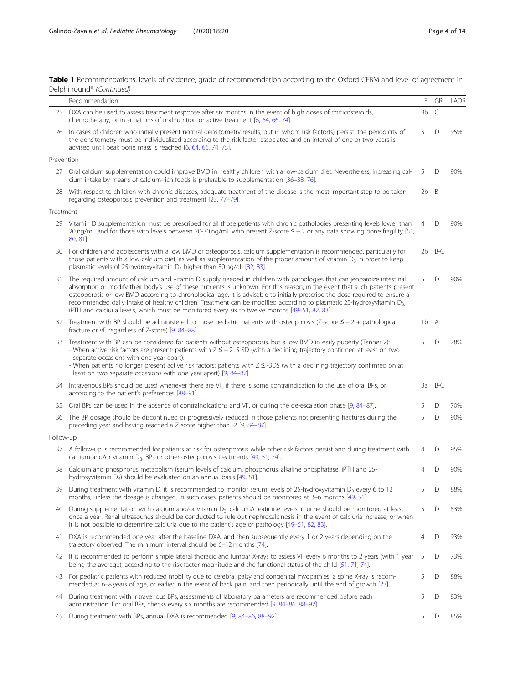| Table 1 Recommendations, levels of evidence, grade of recommendation according to the Oxford CEBM and level of agreement in |  |  |  |  |  |
|-----------------------------------------------------------------------------------------------------------------------------|--|--|--|--|--|
| Delphi round* (Continued)                                                                                                   |  |  |  |  |  |

|            | Recommendation                                                                                                                                                                                                                                                                                                                                                                                                                                                                                                                                                                                                                 | LE.            | GR       | LADR |
|------------|--------------------------------------------------------------------------------------------------------------------------------------------------------------------------------------------------------------------------------------------------------------------------------------------------------------------------------------------------------------------------------------------------------------------------------------------------------------------------------------------------------------------------------------------------------------------------------------------------------------------------------|----------------|----------|------|
| 25         | DXA can be used to assess treatment response after six months in the event of high doses of corticosteroids,<br>chemotherapy, or in situations of malnutrition or active treatment [6, 64, 66, 74].                                                                                                                                                                                                                                                                                                                                                                                                                            | 3b             | C        |      |
| 26         | In cases of children who initially present normal densitometry results, but in whom risk factor(s) persist, the periodicity of<br>the densitometry must be individualized according to the risk factor associated and an interval of one or two years is<br>advised until peak bone mass is reached [6, 64, 66, 74, 75].                                                                                                                                                                                                                                                                                                       | 5              | D        | 95%  |
| Prevention |                                                                                                                                                                                                                                                                                                                                                                                                                                                                                                                                                                                                                                |                |          |      |
| 27         | Oral calcium supplementation could improve BMD in healthy children with a low-calcium diet. Nevertheless, increasing cal-<br>cium intake by means of calcium-rich foods is preferable to supplementation [36-38, 76].                                                                                                                                                                                                                                                                                                                                                                                                          | 5              | D        | 90%  |
| 28         | With respect to children with chronic diseases, adequate treatment of the disease is the most important step to be taken<br>regarding osteoporosis prevention and treatment [23, 77–79].                                                                                                                                                                                                                                                                                                                                                                                                                                       | $2b$ B         |          |      |
| Treatment  |                                                                                                                                                                                                                                                                                                                                                                                                                                                                                                                                                                                                                                |                |          |      |
|            | 29 Vitamin D supplementation must be prescribed for all those patients with chronic pathologies presenting levels lower than<br>20 ng/mL and for those with levels between 20-30 ng/mL who present Z-score $\leq -2$ or any data showing bone fragility [51,<br>80, 81].                                                                                                                                                                                                                                                                                                                                                       | $\overline{4}$ | D        | 90%  |
|            | 30 For children and adolescents with a low BMD or osteoporosis, calcium supplementation is recommended, particularly for<br>those patients with a low-calcium diet, as well as supplementation of the proper amount of vitamin $D_3$ in order to keep<br>plasmatic levels of 25-hydroxyvitamin $D_3$ higher than 30 ng/dL [82, 83].                                                                                                                                                                                                                                                                                            |                | $2b$ B-C |      |
| 31         | The required amount of calcium and vitamin D supply needed in children with pathologies that can jeopardize intestinal<br>absorption or modify their body's use of these nutrients is unknown. For this reason, in the event that such patients present<br>osteoporosis or low BMD according to chronological age, it is advisable to initially prescribe the dose required to ensure a<br>recommended daily intake of healthy children. Treatment can be modified according to plasmatic 25-hydroxyvitamin D <sub>3</sub> ,<br>iPTH and calciuria levels, which must be monitored every six to twelve months [49-51, 82, 83]. | 5              | D        | 90%  |
| 32         | Treatment with BP should be administered to those pediatric patients with osteoporosis (Z-score $\leq -2 +$ pathological<br>fracture or VF regardless of Z-score) $[9, 84-88]$ .                                                                                                                                                                                                                                                                                                                                                                                                                                               | 1b A           |          |      |
| 33         | Treatment with BP can be considered for patients without osteoporosis, but a low BMD in early puberty (Tanner 2):<br>- When active risk factors are present: patients with $Z \le -2$ . 5 SD (with a declining trajectory confirmed at least on two<br>separate occasions with one year apart).<br>- When patients no longer present active risk factors: patients with Z < -3DS (with a declining trajectory confirmed on at<br>least on two separate occasions with one year apart) [9, 84–87].                                                                                                                              | 5              | D        | 78%  |
| 34         | Intravenous BPs should be used whenever there are VF, if there is some contraindication to the use of oral BPs, or<br>according to the patient's preferences [88-91].                                                                                                                                                                                                                                                                                                                                                                                                                                                          | 3a             | B-C      |      |
| 35         | Oral BPs can be used in the absence of contraindications and VF, or during the de-escalation phase [9, 84–87].                                                                                                                                                                                                                                                                                                                                                                                                                                                                                                                 | 5              | D        | 70%  |
| 36         | The BP dosage should be discontinued or progressively reduced in those patients not presenting fractures during the<br>preceding year and having reached a Z-score higher than -2 [9, 84-87].                                                                                                                                                                                                                                                                                                                                                                                                                                  | 5              | D        | 90%  |
| Follow-up  |                                                                                                                                                                                                                                                                                                                                                                                                                                                                                                                                                                                                                                |                |          |      |
| 37         | A follow-up is recommended for patients at risk for osteoporosis while other risk factors persist and during treatment with<br>calcium and/or vitamin $D_3$ , BPs or other osteoporosis treatments [49, 51, 74].                                                                                                                                                                                                                                                                                                                                                                                                               | $\overline{4}$ | D        | 95%  |
| 38         | Calcium and phosphorus metabolism (serum levels of calcium, phosphorus, alkaline phosphatase, iPTH and 25-<br>hydroxyvitamin $D_3$ ) should be evaluated on an annual basis [49, 51].                                                                                                                                                                                                                                                                                                                                                                                                                                          | 4              | D        | 90%  |
|            | 39 During treatment with vitamin D, it is recommended to monitor serum levels of 25-hydroxyvitamin $D_3$ every 6 to 12<br>months, unless the dosage is changed. In such cases, patients should be monitored at 3-6 months [49, 51].                                                                                                                                                                                                                                                                                                                                                                                            | 5              | D        | 88%  |
| 40         | During supplementation with calcium and/or vitamin $D_3$ , calcium/creatinine levels in urine should be monitored at least<br>once a year. Renal ultrasounds should be conducted to rule out nephrocalcinosis in the event of calciuria increase, or when<br>it is not possible to determine calciuria due to the patient's age or pathology [49-51, 82, 83].                                                                                                                                                                                                                                                                  | 5              | D        | 83%  |
|            | 41 DXA is recommended one year after the baseline DXA, and then subsequently every 1 or 2 years depending on the<br>trajectory observed. The minimum interval should be 6-12 months [74].                                                                                                                                                                                                                                                                                                                                                                                                                                      | 4              | D        | 93%  |
|            | 42 It is recommended to perform simple lateral thoracic and lumbar X-rays to assess VF every 6 months to 2 years (with 1 year<br>being the average), according to the risk factor magnitude and the functional status of the child [51, 71, 74].                                                                                                                                                                                                                                                                                                                                                                               | 5              | D        | 73%  |
|            | 43 For pediatric patients with reduced mobility due to cerebral palsy and congenital myopathies, a spine X-ray is recom-<br>mended at 6–8 years of age, or earlier in the event of back pain, and then periodically until the end of growth [23].                                                                                                                                                                                                                                                                                                                                                                              | 5              | D        | 88%  |
| 44         | During treatment with intravenous BPs, assessments of laboratory parameters are recommended before each<br>administration. For oral BPs, checks every six months are recommended [9, 84-86, 88-92].                                                                                                                                                                                                                                                                                                                                                                                                                            | 5              | D        | 83%  |
| 45         | During treatment with BPs, annual DXA is recommended [9, 84-86, 88-92].                                                                                                                                                                                                                                                                                                                                                                                                                                                                                                                                                        | 5              | D        | 85%  |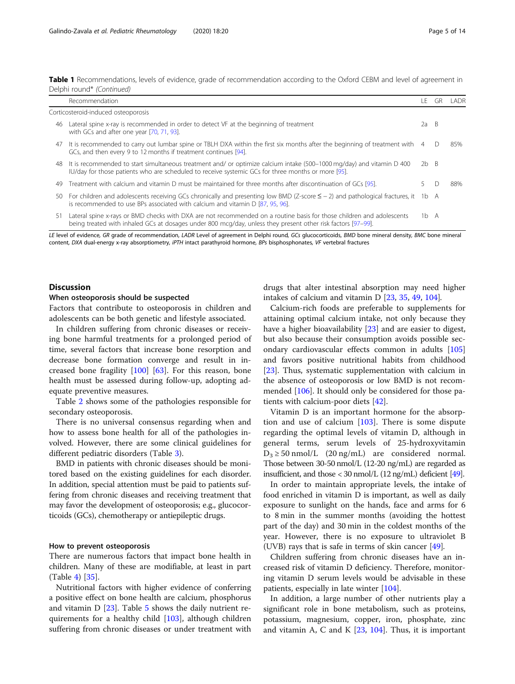Table 1 Recommendations, levels of evidence, grade of recommendation according to the Oxford CEBM and level of agreement in Delphi round\* (Continued)

| Recommendation                                                                                                                                                                                                                        | ΙF                                                                                                                                                                    |                                                                                                                             | ADF                                                                                                                                                                |
|---------------------------------------------------------------------------------------------------------------------------------------------------------------------------------------------------------------------------------------|-----------------------------------------------------------------------------------------------------------------------------------------------------------------------|-----------------------------------------------------------------------------------------------------------------------------|--------------------------------------------------------------------------------------------------------------------------------------------------------------------|
|                                                                                                                                                                                                                                       |                                                                                                                                                                       |                                                                                                                             |                                                                                                                                                                    |
| Lateral spine x-ray is recommended in order to detect VF at the beginning of treatment<br>with GCs and after one year [70, 71, 93].                                                                                                   |                                                                                                                                                                       |                                                                                                                             |                                                                                                                                                                    |
| GCs, and then every 9 to 12 months if treatment continues [94].                                                                                                                                                                       |                                                                                                                                                                       | Ð                                                                                                                           | 85%                                                                                                                                                                |
| IU/day for those patients who are scheduled to receive systemic GCs for three months or more [95].                                                                                                                                    |                                                                                                                                                                       |                                                                                                                             |                                                                                                                                                                    |
| Treatment with calcium and vitamin D must be maintained for three months after discontinuation of GCs [95].                                                                                                                           |                                                                                                                                                                       | Ð                                                                                                                           | 88%                                                                                                                                                                |
| is recommended to use BPs associated with calcium and vitamin D [87, 95, 96].                                                                                                                                                         |                                                                                                                                                                       |                                                                                                                             |                                                                                                                                                                    |
| Lateral spine x-rays or BMD checks with DXA are not recommended on a routine basis for those children and adolescents<br>being treated with inhaled GCs at dosages under 800 mcg/day, unless they present other risk factors [97-99]. |                                                                                                                                                                       |                                                                                                                             |                                                                                                                                                                    |
|                                                                                                                                                                                                                                       | Corticosteroid-induced osteoporosis<br>47<br>48 It is recommended to start simultaneous treatment and/ or optimize calcium intake (500-1000 mg/day) and vitamin D 400 | It is recommended to carry out lumbar spine or TBLH DXA within the first six months after the beginning of treatment with 4 | 2a B<br>$2b$ B<br>For children and adolescents receiving GCs chronically and presenting low BMD (Z-score $\leq -2$ ) and pathological fractures, it 1b A<br>$1b$ A |

LE level of evidence, GR grade of recommendation, LADR Level of agreement in Delphi round, GCs glucocorticoids, BMD bone mineral density, BMC bone mineral content, DXA dual-energy x-ray absorptiometry, iPTH intact parathyroid hormone, BPs bisphosphonates, VF vertebral fractures

## **Discussion**

#### When osteoporosis should be suspected

Factors that contribute to osteoporosis in children and adolescents can be both genetic and lifestyle associated.

In children suffering from chronic diseases or receiving bone harmful treatments for a prolonged period of time, several factors that increase bone resorption and decrease bone formation converge and result in increased bone fragility [\[100](#page-12-0)] [[63\]](#page-11-0). For this reason, bone health must be assessed during follow-up, adopting adequate preventive measures.

Table [2](#page-5-0) shows some of the pathologies responsible for secondary osteoporosis.

There is no universal consensus regarding when and how to assess bone health for all of the pathologies involved. However, there are some clinical guidelines for different pediatric disorders (Table [3](#page-6-0)).

BMD in patients with chronic diseases should be monitored based on the existing guidelines for each disorder. In addition, special attention must be paid to patients suffering from chronic diseases and receiving treatment that may favor the development of osteoporosis; e.g., glucocorticoids (GCs), chemotherapy or antiepileptic drugs.

#### How to prevent osteoporosis

There are numerous factors that impact bone health in children. Many of these are modifiable, at least in part (Table [4\)](#page-7-0) [[35\]](#page-11-0).

Nutritional factors with higher evidence of conferring a positive effect on bone health are calcium, phosphorus and vitamin  $D$  [[23\]](#page-11-0). Table [5](#page-7-0) shows the daily nutrient requirements for a healthy child [[103](#page-12-0)], although children suffering from chronic diseases or under treatment with

drugs that alter intestinal absorption may need higher intakes of calcium and vitamin D [[23,](#page-11-0) [35,](#page-11-0) [49,](#page-11-0) [104](#page-12-0)].

Calcium-rich foods are preferable to supplements for attaining optimal calcium intake, not only because they have a higher bioavailability [\[23](#page-11-0)] and are easier to digest, but also because their consumption avoids possible secondary cardiovascular effects common in adults [[105](#page-12-0)] and favors positive nutritional habits from childhood [[23\]](#page-11-0). Thus, systematic supplementation with calcium in the absence of osteoporosis or low BMD is not recommended [[106](#page-12-0)]. It should only be considered for those patients with calcium-poor diets [[42\]](#page-11-0).

Vitamin D is an important hormone for the absorption and use of calcium  $[103]$  $[103]$ . There is some dispute regarding the optimal levels of vitamin D, although in general terms, serum levels of 25-hydroxyvitamin  $D_3 \ge 50$  nmol/L (20 ng/mL) are considered normal. Those between 30-50 nmol/L (12-20 ng/mL) are regarded as insufficient, and those  $<$  30 nmol/L (12 ng/mL) deficient [\[49](#page-11-0)].

In order to maintain appropriate levels, the intake of food enriched in vitamin D is important, as well as daily exposure to sunlight on the hands, face and arms for 6 to 8 min in the summer months (avoiding the hottest part of the day) and 30 min in the coldest months of the year. However, there is no exposure to ultraviolet B (UVB) rays that is safe in terms of skin cancer [[49\]](#page-11-0).

Children suffering from chronic diseases have an increased risk of vitamin D deficiency. Therefore, monitoring vitamin D serum levels would be advisable in these patients, especially in late winter [\[104\]](#page-12-0).

In addition, a large number of other nutrients play a significant role in bone metabolism, such as proteins, potassium, magnesium, copper, iron, phosphate, zinc and vitamin A, C and K  $[23, 104]$  $[23, 104]$  $[23, 104]$  $[23, 104]$ . Thus, it is important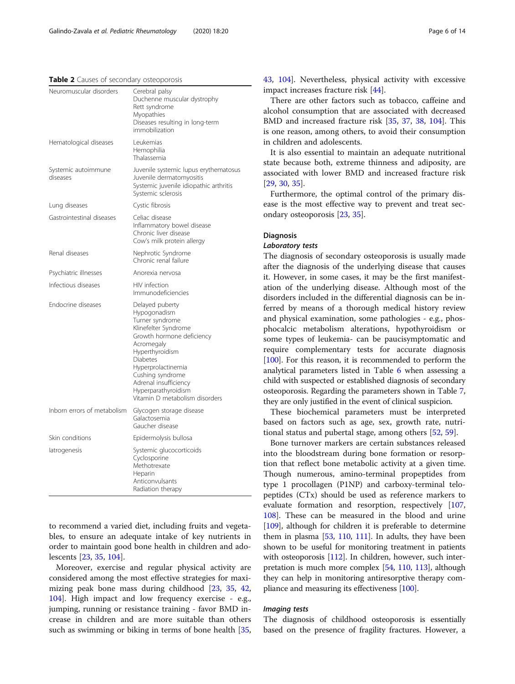<span id="page-5-0"></span>Table 2 Causes of secondary osteoporosis

| Neuromuscular disorders         | Cerebral palsy<br>Duchenne muscular dystrophy<br>Rett syndrome<br>Myopathies<br>Diseases resulting in long-term<br>immobilization                                                                                                                                                       |
|---------------------------------|-----------------------------------------------------------------------------------------------------------------------------------------------------------------------------------------------------------------------------------------------------------------------------------------|
| Hematological diseases          | Leukemias<br>Hemophilia<br>Thalassemia                                                                                                                                                                                                                                                  |
| Systemic autoimmune<br>diseases | Juvenile systemic lupus erythematosus<br>Juvenile dermatomyositis<br>Systemic juvenile idiopathic arthritis<br>Systemic sclerosis                                                                                                                                                       |
| Lung diseases                   | Cystic fibrosis                                                                                                                                                                                                                                                                         |
| Gastrointestinal diseases       | Celiac disease<br>Inflammatory bowel disease<br>Chronic liver disease<br>Cow's milk protein allergy                                                                                                                                                                                     |
| Renal diseases                  | Nephrotic Syndrome<br>Chronic renal failure                                                                                                                                                                                                                                             |
| Psychiatric illnesses           | Anorexia nervosa                                                                                                                                                                                                                                                                        |
| Infectious diseases             | HIV infection<br>Immunodeficiencies                                                                                                                                                                                                                                                     |
| Endocrine diseases              | Delayed puberty<br>Hypogonadism<br>Turner syndrome<br>Klinefelter Syndrome<br>Growth hormone deficiency<br>Acromegaly<br>Hyperthyroidism<br><b>Diabetes</b><br>Hyperprolactinemia<br>Cushing syndrome<br>Adrenal insufficiency<br>Hyperparathyroidism<br>Vitamin D metabolism disorders |
| Inborn errors of metabolism     | Glycogen storage disease<br>Galactosemia<br>Gaucher disease                                                                                                                                                                                                                             |
| Skin conditions                 | Epidermolysis bullosa                                                                                                                                                                                                                                                                   |
| latrogenesis                    | Systemic glucocorticoids<br>Cyclosporine<br>Methotrexate<br>Heparin<br>Anticonvulsants<br>Radiation therapy                                                                                                                                                                             |

to recommend a varied diet, including fruits and vegetables, to ensure an adequate intake of key nutrients in order to maintain good bone health in children and adolescents [[23,](#page-11-0) [35](#page-11-0), [104](#page-12-0)].

Moreover, exercise and regular physical activity are considered among the most effective strategies for maximizing peak bone mass during childhood [[23](#page-11-0), [35](#page-11-0), [42](#page-11-0), [104](#page-12-0)]. High impact and low frequency exercise - e.g., jumping, running or resistance training - favor BMD increase in children and are more suitable than others such as swimming or biking in terms of bone health [[35](#page-11-0), [43,](#page-11-0) [104\]](#page-12-0). Nevertheless, physical activity with excessive impact increases fracture risk [\[44](#page-11-0)].

There are other factors such as tobacco, caffeine and alcohol consumption that are associated with decreased BMD and increased fracture risk [\[35,](#page-11-0) [37,](#page-11-0) [38,](#page-11-0) [104](#page-12-0)]. This is one reason, among others, to avoid their consumption in children and adolescents.

It is also essential to maintain an adequate nutritional state because both, extreme thinness and adiposity, are associated with lower BMD and increased fracture risk [[29,](#page-11-0) [30,](#page-11-0) [35\]](#page-11-0).

Furthermore, the optimal control of the primary disease is the most effective way to prevent and treat secondary osteoporosis [[23,](#page-11-0) [35\]](#page-11-0).

#### Diagnosis

#### Laboratory tests

The diagnosis of secondary osteoporosis is usually made after the diagnosis of the underlying disease that causes it. However, in some cases, it may be the first manifestation of the underlying disease. Although most of the disorders included in the differential diagnosis can be inferred by means of a thorough medical history review and physical examination, some pathologies - e.g., phosphocalcic metabolism alterations, hypothyroidism or some types of leukemia- can be paucisymptomatic and require complementary tests for accurate diagnosis [[100](#page-12-0)]. For this reason, it is recommended to perform the analytical parameters listed in Table [6](#page-8-0) when assessing a child with suspected or established diagnosis of secondary osteoporosis. Regarding the parameters shown in Table [7](#page-8-0), they are only justified in the event of clinical suspicion.

These biochemical parameters must be interpreted based on factors such as age, sex, growth rate, nutritional status and pubertal stage, among others [\[52,](#page-11-0) [59\]](#page-11-0).

Bone turnover markers are certain substances released into the bloodstream during bone formation or resorption that reflect bone metabolic activity at a given time. Though numerous, amino-terminal propeptides from type 1 procollagen (P1NP) and carboxy-terminal telopeptides (CTx) should be used as reference markers to evaluate formation and resorption, respectively [[107](#page-12-0), [108](#page-12-0)]. These can be measured in the blood and urine [[109](#page-12-0)], although for children it is preferable to determine them in plasma [[53](#page-11-0), [110,](#page-12-0) [111\]](#page-12-0). In adults, they have been shown to be useful for monitoring treatment in patients with osteoporosis [\[112](#page-12-0)]. In children, however, such interpretation is much more complex [\[54,](#page-11-0) [110,](#page-12-0) [113\]](#page-12-0), although they can help in monitoring antiresorptive therapy compliance and measuring its effectiveness [[100](#page-12-0)].

#### Imaging tests

The diagnosis of childhood osteoporosis is essentially based on the presence of fragility fractures. However, a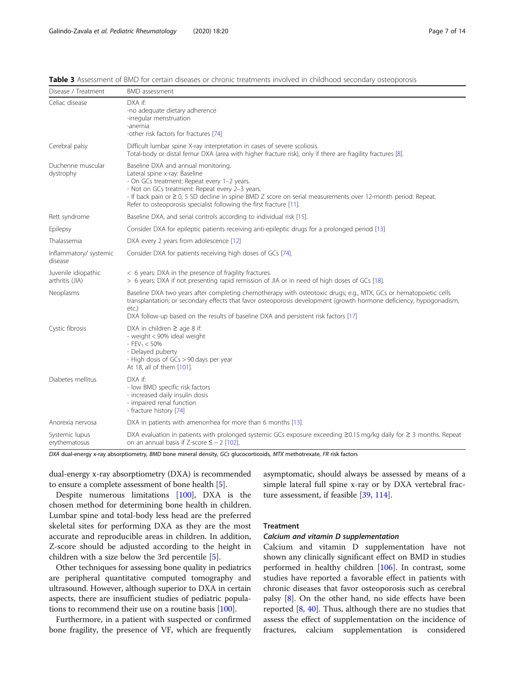| Disease / Treatment                    | <b>BMD</b> assessment                                                                                                                                                                                                                                                                                                                                               |
|----------------------------------------|---------------------------------------------------------------------------------------------------------------------------------------------------------------------------------------------------------------------------------------------------------------------------------------------------------------------------------------------------------------------|
| Celiac disease                         | DXA if:<br>-no adequate dietary adherence<br>-irregular menstruation<br>-anemia<br>-other risk factors for fractures [74]                                                                                                                                                                                                                                           |
| Cerebral palsy                         | Difficult lumbar spine X-ray interpretation in cases of severe scoliosis.<br>Total-body or distal femur DXA (area with higher fracture risk), only if there are fragility fractures [8].                                                                                                                                                                            |
| Duchenne muscular<br>dystrophy         | Baseline DXA and annual monitoring.<br>Lateral spine x-ray: Baseline<br>- On GCs treatment: Repeat every 1-2 years.<br>- Not on GCs treatment: Repeat every 2-3 years.<br>- If back pain or $\geq$ 0, 5 SD decline in spine BMD Z score on serial measurements over 12-month period: Repeat.<br>Refer to osteoporosis specialist following the first fracture [11]. |
| Rett syndrome                          | Baseline DXA, and serial controls according to individual risk [15].                                                                                                                                                                                                                                                                                                |
| Epilepsy                               | Consider DXA for epileptic patients receiving anti-epileptic drugs for a prolonged period [13]                                                                                                                                                                                                                                                                      |
| Thalassemia                            | DXA every 2 years from adolescence [12]                                                                                                                                                                                                                                                                                                                             |
| Inflammatory/ systemic<br>disease      | Consider DXA for patients receiving high doses of GCs [74].                                                                                                                                                                                                                                                                                                         |
| Juvenile idiopathic<br>arthritis (JIA) | < 6 years: DXA in the presence of fragility fractures.<br>> 6 years: DXA if not presenting rapid remission of JIA or in need of high doses of GCs [18].                                                                                                                                                                                                             |
| Neoplasms                              | Baseline DXA two years after completing chemotherapy with osteotoxic drugs; e.g., MTX, GCs or hematopoietic cells<br>transplantation; or secondary effects that favor osteoporosis development (growth hormone deficiency, hypogonadism,<br>etc.<br>DXA follow-up based on the results of baseline DXA and persistent risk factors [17]                             |
| Cystic fibrosis                        | DXA in children $\geq$ age 8 if:<br>- weight < 90% ideal weight<br>$-$ FEV <sub>1</sub> < 50%<br>- Delayed puberty<br>- High dosis of GCs > 90 days per year<br>At 18, all of them [101].                                                                                                                                                                           |
| Diabetes mellitus                      | DXA if:<br>- low BMD specific risk factors<br>- increased daily insulin dosis<br>- impaired renal function<br>- fracture history [74]                                                                                                                                                                                                                               |
| Anorexia nervosa                       | DXA in patients with amenorrhea for more than 6 months [13].                                                                                                                                                                                                                                                                                                        |
| Systemic lupus<br>erythematosus        | DXA evaluation in patients with prolonged systemic GCs exposure exceeding $\geq$ 0.15 mg/kg daily for $\geq$ 3 months. Repeat<br>on an annual basis if Z-score $\leq$ - 2 [102].                                                                                                                                                                                    |

<span id="page-6-0"></span>Table 3 Assessment of BMD for certain diseases or chronic treatments involved in childhood secondary osteoporosis

DXA dual-energy x-ray absorptiometry, BMD bone mineral density, GCs glucocorticoids, MTX methotrexate, FR risk factors

dual-energy x-ray absorptiometry (DXA) is recommended to ensure a complete assessment of bone health [[5\]](#page-10-0).

Despite numerous limitations [[100\]](#page-12-0), DXA is the chosen method for determining bone health in children. Lumbar spine and total-body less head are the preferred skeletal sites for performing DXA as they are the most accurate and reproducible areas in children. In addition, Z-score should be adjusted according to the height in children with a size below the 3rd percentile [\[5](#page-10-0)].

Other techniques for assessing bone quality in pediatrics are peripheral quantitative computed tomography and ultrasound. However, although superior to DXA in certain aspects, there are insufficient studies of pediatric populations to recommend their use on a routine basis [\[100\]](#page-12-0).

Furthermore, in a patient with suspected or confirmed bone fragility, the presence of VF, which are frequently asymptomatic, should always be assessed by means of a simple lateral full spine x-ray or by DXA vertebral frac-ture assessment, if feasible [[39,](#page-11-0) [114\]](#page-13-0).

#### Treatment

## Calcium and vitamin D supplementation

Calcium and vitamin D supplementation have not shown any clinically significant effect on BMD in studies performed in healthy children [[106](#page-12-0)]. In contrast, some studies have reported a favorable effect in patients with chronic diseases that favor osteoporosis such as cerebral palsy [\[8](#page-10-0)]. On the other hand, no side effects have been reported [[8,](#page-10-0) [40](#page-11-0)]. Thus, although there are no studies that assess the effect of supplementation on the incidence of fractures, calcium supplementation is considered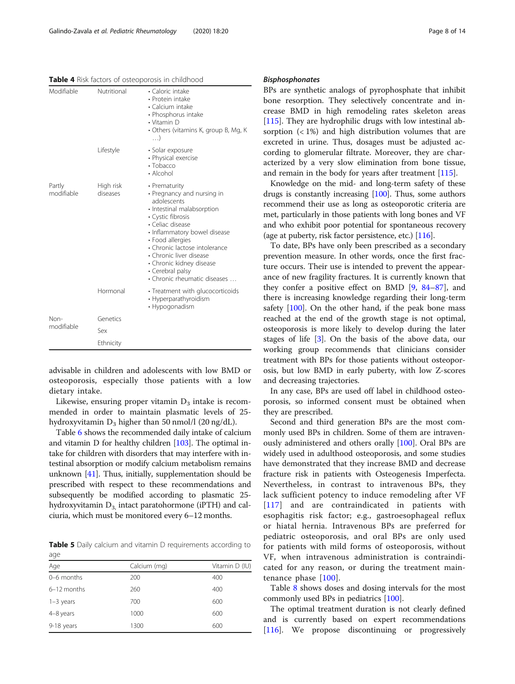<span id="page-7-0"></span>Table 4 Risk factors of osteoporosis in childhood

| Modifiable           | Nutritional           | • Caloric intake<br>• Protein intake<br>• Calcium intake<br>• Phosphorus intake<br>• Vitamin D<br>• Others (vitamins K, group B, Mg, K<br>$\ldots$                                                                                                                                                                                |
|----------------------|-----------------------|-----------------------------------------------------------------------------------------------------------------------------------------------------------------------------------------------------------------------------------------------------------------------------------------------------------------------------------|
|                      | Lifestyle             | · Solar exposure<br>• Physical exercise<br>$\cdot$ Tobacco<br>• Alcohol                                                                                                                                                                                                                                                           |
| Partly<br>modifiable | High risk<br>diseases | • Prematurity<br>• Pregnancy and nursing in<br>adolescents<br>· Intestinal malabsorption<br>• Cystic fibrosis<br>• Celiac disease<br>· Inflammatory bowel disease<br>• Food allergies<br>· Chronic lactose intolerance<br>• Chronic liver disease<br>· Chronic kidney disease<br>• Cerebral palsy<br>· Chronic rheumatic diseases |
|                      | Hormonal              | • Treatment with glucocorticoids<br>• Hyperparathyroidism<br>• Hypogonadism                                                                                                                                                                                                                                                       |
| Non-                 | Genetics              |                                                                                                                                                                                                                                                                                                                                   |
| modifiable           | Sex                   |                                                                                                                                                                                                                                                                                                                                   |
|                      | Ethnicity             |                                                                                                                                                                                                                                                                                                                                   |

advisable in children and adolescents with low BMD or osteoporosis, especially those patients with a low dietary intake.

Likewise, ensuring proper vitamin  $D_3$  intake is recommended in order to maintain plasmatic levels of 25 hydroxyvitamin  $D_3$  higher than 50 nmol/l (20 ng/dL).

Table [6](#page-8-0) shows the recommended daily intake of calcium and vitamin D for healthy children [[103](#page-12-0)]. The optimal intake for children with disorders that may interfere with intestinal absorption or modify calcium metabolism remains unknown [\[41\]](#page-11-0). Thus, initially, supplementation should be prescribed with respect to these recommendations and subsequently be modified according to plasmatic 25 hydroxyvitamin  $D_3$  intact paratohormone (iPTH) and calciuria, which must be monitored every 6–12 months.

Table 5 Daily calcium and vitamin D requirements according to age

| $\sim$ $\sim$ |              |                |
|---------------|--------------|----------------|
| Age           | Calcium (mg) | Vitamin D (IU) |
| 0-6 months    | 200          | 400            |
| 6-12 months   | 260          | 400            |
| $1-3$ years   | 700          | 600            |
| 4-8 years     | 1000         | 600            |
| 9-18 years    | 1300         | 600            |
|               |              |                |

#### Bisphosphonates

BPs are synthetic analogs of pyrophosphate that inhibit bone resorption. They selectively concentrate and increase BMD in high remodeling rates skeleton areas [[115\]](#page-13-0). They are hydrophilic drugs with low intestinal absorption  $\left($  < 1%) and high distribution volumes that are excreted in urine. Thus, dosages must be adjusted according to glomerular filtrate. Moreover, they are characterized by a very slow elimination from bone tissue, and remain in the body for years after treatment [\[115](#page-13-0)].

Knowledge on the mid- and long-term safety of these drugs is constantly increasing [\[100\]](#page-12-0). Thus, some authors recommend their use as long as osteoporotic criteria are met, particularly in those patients with long bones and VF and who exhibit poor potential for spontaneous recovery (age at puberty, risk factor persistence, etc.) [\[116\]](#page-13-0).

To date, BPs have only been prescribed as a secondary prevention measure. In other words, once the first fracture occurs. Their use is intended to prevent the appearance of new fragility fractures. It is currently known that they confer a positive effect on BMD [[9,](#page-10-0) [84](#page-12-0)–[87](#page-12-0)], and there is increasing knowledge regarding their long-term safety [[100\]](#page-12-0). On the other hand, if the peak bone mass reached at the end of the growth stage is not optimal, osteoporosis is more likely to develop during the later stages of life  $[3]$  $[3]$ . On the basis of the above data, our working group recommends that clinicians consider treatment with BPs for those patients without osteoporosis, but low BMD in early puberty, with low Z-scores and decreasing trajectories.

In any case, BPs are used off label in childhood osteoporosis, so informed consent must be obtained when they are prescribed.

Second and third generation BPs are the most commonly used BPs in children. Some of them are intravenously administered and others orally [\[100](#page-12-0)]. Oral BPs are widely used in adulthood osteoporosis, and some studies have demonstrated that they increase BMD and decrease fracture risk in patients with Osteogenesis Imperfecta. Nevertheless, in contrast to intravenous BPs, they lack sufficient potency to induce remodeling after VF [[117](#page-13-0)] and are contraindicated in patients with esophagitis risk factor; e.g., gastroesophageal reflux or hiatal hernia. Intravenous BPs are preferred for pediatric osteoporosis, and oral BPs are only used for patients with mild forms of osteoporosis, without VF, when intravenous administration is contraindicated for any reason, or during the treatment maintenance phase [[100](#page-12-0)].

Table [8](#page-9-0) shows doses and dosing intervals for the most commonly used BPs in pediatrics [\[100\]](#page-12-0).

The optimal treatment duration is not clearly defined and is currently based on expert recommendations [[116\]](#page-13-0). We propose discontinuing or progressively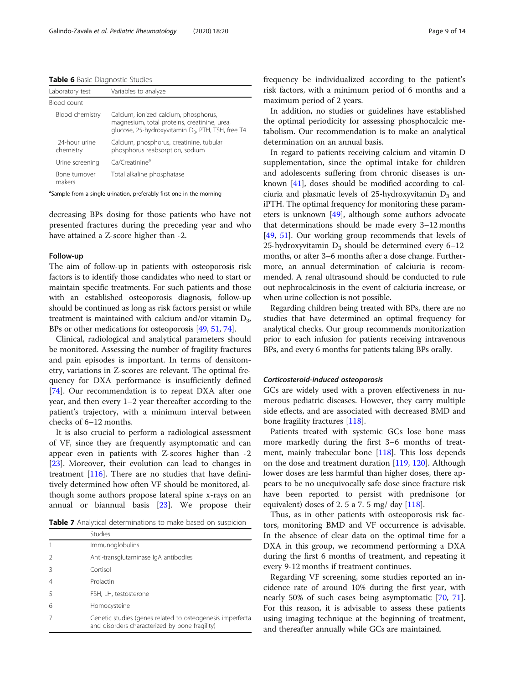<span id="page-8-0"></span>Table 6 Basic Diagnostic Studies

| Laboratory test            | Variables to analyze                                                                                                                                   |  |  |  |
|----------------------------|--------------------------------------------------------------------------------------------------------------------------------------------------------|--|--|--|
| Blood count                |                                                                                                                                                        |  |  |  |
| Blood chemistry            | Calcium, ionized calcium, phosphorus,<br>magnesium, total proteins, creatinine, urea,<br>glucose, 25-hydroxyvitamin D <sub>3</sub> , PTH, TSH, free T4 |  |  |  |
| 24-hour urine<br>chemistry | Calcium, phosphorus, creatinine, tubular<br>phosphorus reabsorption, sodium                                                                            |  |  |  |
| Urine screening            | Ca/Creatinine <sup>a</sup>                                                                                                                             |  |  |  |
| Bone turnover<br>makers    | Total alkaline phosphatase                                                                                                                             |  |  |  |

<sup>a</sup>Sample from a single urination, preferably first one in the morning

decreasing BPs dosing for those patients who have not presented fractures during the preceding year and who have attained a Z-score higher than -2.

#### Follow-up

The aim of follow-up in patients with osteoporosis risk factors is to identify those candidates who need to start or maintain specific treatments. For such patients and those with an established osteoporosis diagnosis, follow-up should be continued as long as risk factors persist or while treatment is maintained with calcium and/or vitamin  $D_3$ , BPs or other medications for osteoporosis [[49](#page-11-0), [51,](#page-11-0) [74\]](#page-12-0).

Clinical, radiological and analytical parameters should be monitored. Assessing the number of fragility fractures and pain episodes is important. In terms of densitometry, variations in Z-scores are relevant. The optimal frequency for DXA performance is insufficiently defined [[74\]](#page-12-0). Our recommendation is to repeat DXA after one year, and then every 1–2 year thereafter according to the patient's trajectory, with a minimum interval between checks of 6–12 months.

It is also crucial to perform a radiological assessment of VF, since they are frequently asymptomatic and can appear even in patients with Z-scores higher than -2 [[23\]](#page-11-0). Moreover, their evolution can lead to changes in treatment  $[116]$ . There are no studies that have definitively determined how often VF should be monitored, although some authors propose lateral spine x-rays on an annual or biannual basis [\[23](#page-11-0)]. We propose their

Table 7 Analytical determinations to make based on suspicion

|   | Studies                                                                                                     |
|---|-------------------------------------------------------------------------------------------------------------|
|   | Immunoglobulins                                                                                             |
|   | Anti-transglutaminase IgA antibodies                                                                        |
| Β | Cortisol                                                                                                    |
| 4 | Prolactin                                                                                                   |
| 5 | FSH, LH, testosterone                                                                                       |
| 6 | Homocysteine                                                                                                |
|   | Genetic studies (genes related to osteogenesis imperfecta<br>and disorders characterized by bone fragility) |

frequency be individualized according to the patient's risk factors, with a minimum period of 6 months and a maximum period of 2 years.

In addition, no studies or guidelines have established the optimal periodicity for assessing phosphocalcic metabolism. Our recommendation is to make an analytical determination on an annual basis.

In regard to patients receiving calcium and vitamin D supplementation, since the optimal intake for children and adolescents suffering from chronic diseases is unknown [\[41\]](#page-11-0), doses should be modified according to calciuria and plasmatic levels of 25-hydroxyvitamin  $D_3$  and iPTH. The optimal frequency for monitoring these parameters is unknown [\[49\]](#page-11-0), although some authors advocate that determinations should be made every 3–12 months [[49](#page-11-0), [51](#page-11-0)]. Our working group recommends that levels of 25-hydroxyvitamin  $D_3$  should be determined every 6–12 months, or after 3–6 months after a dose change. Furthermore, an annual determination of calciuria is recommended. A renal ultrasound should be conducted to rule out nephrocalcinosis in the event of calciuria increase, or when urine collection is not possible.

Regarding children being treated with BPs, there are no studies that have determined an optimal frequency for analytical checks. Our group recommends monitorization prior to each infusion for patients receiving intravenous BPs, and every 6 months for patients taking BPs orally.

#### Corticosteroid-induced osteoporosis

GCs are widely used with a proven effectiveness in numerous pediatric diseases. However, they carry multiple side effects, and are associated with decreased BMD and bone fragility fractures [\[118](#page-13-0)].

Patients treated with systemic GCs lose bone mass more markedly during the first 3–6 months of treatment, mainly trabecular bone [[118\]](#page-13-0). This loss depends on the dose and treatment duration [\[119](#page-13-0), [120\]](#page-13-0). Although lower doses are less harmful than higher doses, there appears to be no unequivocally safe dose since fracture risk have been reported to persist with prednisone (or equivalent) doses of 2. 5 a 7. 5 mg/ day [\[118](#page-13-0)].

Thus, as in other patients with osteoporosis risk factors, monitoring BMD and VF occurrence is advisable. In the absence of clear data on the optimal time for a DXA in this group, we recommend performing a DXA during the first 6 months of treatment, and repeating it every 9-12 months if treatment continues.

Regarding VF screening, some studies reported an incidence rate of around 10% during the first year, with nearly 50% of such cases being asymptomatic [\[70,](#page-11-0) [71](#page-12-0)]. For this reason, it is advisable to assess these patients using imaging technique at the beginning of treatment, and thereafter annually while GCs are maintained.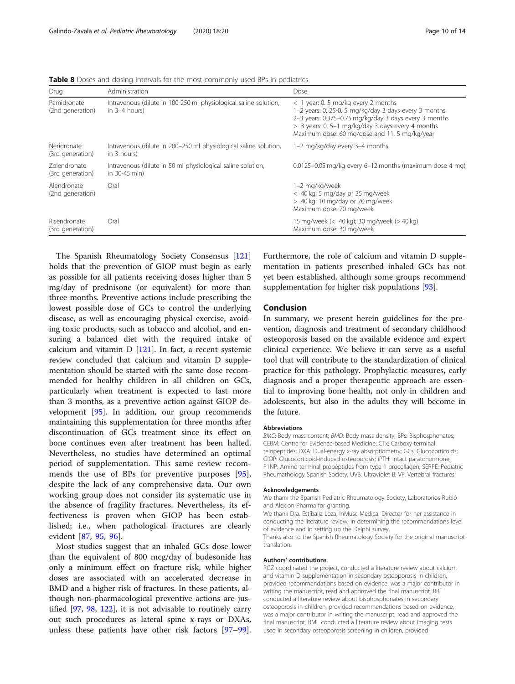<span id="page-9-0"></span>Table 8 Doses and dosing intervals for the most commonly used BPs in pediatrics

| Drug                             | Administration                                                                      | Dose                                                                                                                                                                                                                                                         |
|----------------------------------|-------------------------------------------------------------------------------------|--------------------------------------------------------------------------------------------------------------------------------------------------------------------------------------------------------------------------------------------------------------|
| Pamidronate<br>(2nd generation)  | Intravenous (dilute in 100-250 ml physiological saline solution,<br>in $3-4$ hours) | $<$ 1 year: 0. 5 mg/kg every 2 months<br>1-2 years: 0. 25-0. 5 mg/kg/day 3 days every 3 months<br>2-3 years: 0.375-0.75 mg/kg/day 3 days every 3 months<br>> 3 years: 0. 5-1 mg/kg/day 3 days every 4 months<br>Maximum dose: 60 mg/dose and 11.5 mg/kg/year |
| Neridronate<br>(3rd generation)  | Intravenous (dilute in 200-250 ml physiological saline solution,<br>in 3 hours)     | 1-2 mg/kg/day every 3-4 months                                                                                                                                                                                                                               |
| Zolendronate<br>(3rd generation) | Intravenous (dilute in 50 ml physiological saline solution,<br>in 30-45 min)        | 0.0125-0.05 mg/kg every 6-12 months (maximum dose 4 mg)                                                                                                                                                                                                      |
| Alendronate<br>(2nd generation)  | Oral                                                                                | 1-2 mg/kg/week<br>$<$ 40 kg: 5 mg/day or 35 mg/week<br>$>40$ kg: 10 mg/day or 70 mg/week<br>Maximum dose: 70 mg/week                                                                                                                                         |
| Risendronate<br>(3rd generation) | Oral                                                                                | 15 mg/week (< 40 kg); 30 mg/week (> 40 kg)<br>Maximum dose: 30 mg/week                                                                                                                                                                                       |

The Spanish Rheumatology Society Consensus [[121](#page-13-0)] holds that the prevention of GIOP must begin as early as possible for all patients receiving doses higher than 5 mg/day of prednisone (or equivalent) for more than three months. Preventive actions include prescribing the lowest possible dose of GCs to control the underlying disease, as well as encouraging physical exercise, avoiding toxic products, such as tobacco and alcohol, and ensuring a balanced diet with the required intake of calcium and vitamin D [\[121](#page-13-0)]. In fact, a recent systemic review concluded that calcium and vitamin D supplementation should be started with the same dose recommended for healthy children in all children on GCs, particularly when treatment is expected to last more than 3 months, as a preventive action against GIOP development [\[95\]](#page-12-0). In addition, our group recommends maintaining this supplementation for three months after discontinuation of GCs treatment since its effect on bone continues even after treatment has been halted. Nevertheless, no studies have determined an optimal period of supplementation. This same review recommends the use of BPs for preventive purposes [\[95](#page-12-0)], despite the lack of any comprehensive data. Our own working group does not consider its systematic use in the absence of fragility fractures. Nevertheless, its effectiveness is proven when GIOP has been established; i.e., when pathological fractures are clearly evident [\[87](#page-12-0), [95](#page-12-0), [96](#page-12-0)].

Most studies suggest that an inhaled GCs dose lower than the equivalent of 800 mcg/day of budesonide has only a minimum effect on fracture risk, while higher doses are associated with an accelerated decrease in BMD and a higher risk of fractures. In these patients, although non-pharmacological preventive actions are justified [\[97](#page-12-0), [98,](#page-12-0) [122\]](#page-13-0), it is not advisable to routinely carry out such procedures as lateral spine x-rays or DXAs, unless these patients have other risk factors [[97](#page-12-0)–[99](#page-12-0)]. Furthermore, the role of calcium and vitamin D supplementation in patients prescribed inhaled GCs has not yet been established, although some groups recommend supplementation for higher risk populations [\[93](#page-12-0)].

#### Conclusion

In summary, we present herein guidelines for the prevention, diagnosis and treatment of secondary childhood osteoporosis based on the available evidence and expert clinical experience. We believe it can serve as a useful tool that will contribute to the standardization of clinical practice for this pathology. Prophylactic measures, early diagnosis and a proper therapeutic approach are essential to improving bone health, not only in children and adolescents, but also in the adults they will become in the future.

#### **Abbreviations**

BMC: Body mass content; BMD: Body mass density; BPs: Bisphosphonates; CEBM: Centre for Evidence-based Medicine; CTx: Carboxy-terminal telopeptides; DXA: Dual-energy x-ray absorptiometry; GCs: Glucocorticoids; GIOP: Glucocorticoid-induced osteoporosis; iPTH: Intact paratohormone; P1NP: Amino-terminal propeptides from type 1 procollagen; SERPE: Pediatric Rheumathology Spanish Society; UVB: Ultraviolet B; VF: Vertebral fractures

#### Acknowledgements

We thank the Spanish Pediatric Rheumatology Society, Laboratorios Rubió and Alexion Pharma for granting.

We thank Dra. Estíbaliz Loza, InMusc Medical Director for her assistance in conducting the literature review, in determining the recommendations level of evidence and in setting up the Delphi survey.

Thanks also to the Spanish Rheumatology Society for the original manuscript translation.

#### Authors' contributions

RGZ coordinated the project, conducted a literature review about calcium and vitamin D supplementation in secondary osteoporosis in children, provided recommendations based on evidence, was a major contributor in writing the manuscript, read and approved the final manuscript. RBT conducted a literature review about bisphosphonates in secondary osteoporosis in children, provided recommendations based on evidence, was a major contributor in writing the manuscript, read and approved the final manuscript. BML conducted a literature review about imaging tests used in secondary osteoporosis screening in children, provided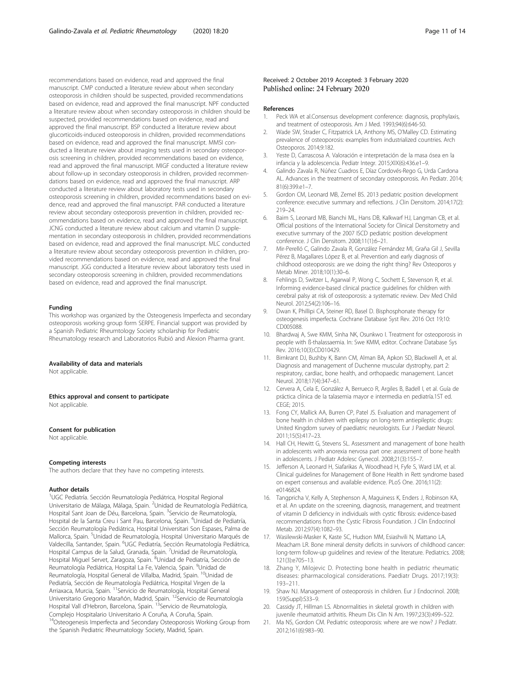<span id="page-10-0"></span>recommendations based on evidence, read and approved the final manuscript. CMP conducted a literature review about when secondary osteoporosis in children should be suspected, provided recommendations based on evidence, read and approved the final manuscript. NPF conducted a literature review about when secondary osteoporosis in children should be suspected, provided recommendations based on evidence, read and approved the final manuscript. BSP conducted a literature review about glucorticoids-induced osteoporosis in children, provided recommendations based on evidence, read and approved the final manuscript. MMSI conducted a literature review about imaging tests used in secondary osteoporosis screening in children, provided recommendations based on evidence, read and approved the final manuscript. MIGF conducted a literature review about follow-up in secondary osteoporosis in children, provided recommendations based on evidence, read and approved the final manuscript. ARP conducted a literature review about laboratory tests used in secondary osteoporosis screening in children, provided recommendations based on evidence, read and approved the final manuscript. PAR conducted a literature review about secondary osteoporosis prevention in children, provided recommendations based on evidence, read and approved the final manuscript. JCNG conducted a literature review about calcium and vitamin D supplementation in secondary osteoporosis in children, provided recommendations based on evidence, read and approved the final manuscript. MLC conducted a literature review about secondary osteoporosis prevention in children, provided recommendations based on evidence, read and approved the final manuscript. JGG conducted a literature review about laboratory tests used in secondary osteoporosis screening in children, provided recommendations based on evidence, read and approved the final manuscript.

#### Funding

This workshop was organized by the Osteogenesis Imperfecta and secondary osteoporosis working group form SERPE. Financial support was provided by a Spanish Pediatric Rheumtology Society scholarship for Pediatric Rheumatology research and Laboratorios Rubió and Alexion Pharma grant.

#### Availability of data and materials

Not applicable.

Ethics approval and consent to participate Not applicable.

## Consent for publication

Not applicable.

#### Competing interests

The authors declare that they have no competing interests.

#### Author details

<sup>1</sup>UGC Pediatría. Sección Reumatología Pediátrica, Hospital Regional Universitario de Málaga, Málaga, Spain. <sup>2</sup>Unidad de Reumatología Pediátrica, Hospital Sant Joan de Déu, Barcelona, Spain. <sup>3</sup>Servicio de Reumatología, Hospital de la Santa Creu i Sant Pau, Barcelona, Spain. <sup>4</sup>Unidad de Pediatría, Sección Reumatología Pediátrica, Hospital Universitari Son Espases, Palma de Mallorca, Spain. <sup>5</sup>Unidad de Reumatología, Hospital Universitario Marqués de Valdecilla, Santander, Spain. <sup>6</sup>UGC Pediatría, Sección Reumatología Pediátrica, Hospital Campus de la Salud, Granada, Spain. <sup>7</sup>Unidad de Reumatología, Hospital Miguel Servet, Zaragoza, Spain. <sup>8</sup>Unidad de Pediatría, Sección de Reumatología Pediátrica, Hospital La Fe, Valencia, Spain. <sup>9</sup>Unidad de Reumatología, Hospital General de Villalba, Madrid, Spain. <sup>10</sup>Unidad de Pediatría, Sección de Reumatología Pediátrica, Hospital Virgen de la Arriaxaca, Murcia, Spain. 11Servicio de Reumatología, Hospital General Universitario Gregorio Marañón, Madrid, Spain. <sup>12</sup>Servicio de Reumatología Hospital Vall d'Hebron, Barcelona, Spain. <sup>13</sup>Servicio de Reumatología, Complejo Hospitalario Universitario A Coruña, A Coruña, Spain.

<sup>14</sup>Osteogenesis Imperfecta and Secondary Osteoporosis Working Group from the Spanish Pediatric Rheumatology Society, Madrid, Spain.

#### Received: 2 October 2019 Accepted: 3 February 2020 Published online: 24 February 2020

#### References

- 1. Peck WA et al.Consensus development conference: diagnosis, prophylaxis, and treatment of osteoporosis. Am J Med. 1993;94(6):646-50.
- 2. Wade SW, Strader C, Fitzpatrick LA, Anthony MS, O'Malley CD. Estimating prevalence of osteoporosis: examples from industrialized countries. Arch Osteoporos. 2014;9:182.
- 3. Yeste D, Carrascosa A. Valoración e interpretación de la masa ósea en la infancia y la adolescencia. Pediatr Integr. 2015;XIX(6):436.e1–9.
- 4. Galindo Zavala R, Núñez Cuadros E, Díaz Cordovés-Rego G, Urda Cardona AL. Advances in the treatment of secondary osteoporosis. An Pediatr. 2014; 81(6):399.e1–7.
- 5. Gordon CM, Leonard MB, Zemel BS. 2013 pediatric position development conference: executive summary and reflections. J Clin Densitom. 2014;17(2): 219–24.
- 6. Baim S, Leonard MB, Bianchi ML, Hans DB, Kalkwarf HJ, Langman CB, et al. Official positions of the International Society for Clinical Densitometry and executive summary of the 2007 ISCD pediatric position development conference. J Clin Densitom. 2008;11(1):6–21.
- 7. Mir-Perelló C, Galindo Zavala R, González Fernández MI, Graña Gil J, Sevilla Pérez B, Magallares López B, et al. Prevention and early diagnosis of childhood osteoporosis: are we doing the right thing? Rev Osteoporos y Metab Miner. 2018;10(1):30–6.
- 8. Fehlings D, Switzer L, Agarwal P, Wong C, Sochett E, Stevenson R, et al. Informing evidence-based clinical practice guidelines for children with cerebral palsy at risk of osteoporosis: a systematic review. Dev Med Child Neurol. 2012;54(2):106–16.
- 9. Dwan K, Phillipi CA, Steiner RD, Basel D. Bisphosphonate therapy for osteogenesis imperfecta. Cochrane Database Syst Rev. 2016 Oct 19;10: CD005088.
- 10. Bhardwaj A, Swe KMM, Sinha NK, Osunkwo I. Treatment for osteoporosis in people with ß-thalassaemia. In: Swe KMM, editor. Cochrane Database Sys Rev. 2016;10(3):CD010429.
- 11. Birnkrant DJ, Bushby K, Bann CM, Alman BA, Apkon SD, Blackwell A, et al. Diagnosis and management of Duchenne muscular dystrophy, part 2: respiratory, cardiac, bone health, and orthopaedic management. Lancet Neurol. 2018;17(4):347–61.
- 12. Cervera A, Cela E, González A, Berrueco R, Argiles B, Badell I, et al. Guía de práctica clínica de la talasemia mayor e intermedia en pediatría.1ST ed. CEGE; 2015.
- 13. Fong CY, Mallick AA, Burren CP, Patel JS. Evaluation and management of bone health in children with epilepsy on long-term antiepileptic drugs: United Kingdom survey of paediatric neurologists. Eur J Paediatr Neurol. 2011;15(5):417–23.
- 14. Hall CH, Hewitt G, Stevens SL. Assessment and management of bone health in adolescents with anorexia nervosa part one: assessment of bone health in adolescents. J Pediatr Adolesc Gynecol. 2008;21(3):155–7.
- 15. Jefferson A, Leonard H, Siafarikas A, Woodhead H, Fyfe S, Ward LM, et al. Clinical guidelines for Management of Bone Health in Rett syndrome based on expert consensus and available evidence. PLoS One. 2016;11(2): e0146824.
- 16. Tangpricha V, Kelly A, Stephenson A, Maguiness K, Enders J, Robinson KA, et al. An update on the screening, diagnosis, management, and treatment of vitamin D deficiency in individuals with cystic fibrosis: evidence-based recommendations from the Cystic Fibrosis Foundation. J Clin Endocrinol Metab. 2012;97(4):1082–93.
- 17. Wasilewski-Masker K, Kaste SC, Hudson MM, Esiashvili N, Mattano LA, Meacham LR. Bone mineral density deficits in survivors of childhood cancer: long-term follow-up guidelines and review of the literature. Pediatrics. 2008; 121(3):e705–13.
- 18. Zhang Y, Milojevic D. Protecting bone health in pediatric rheumatic diseases: pharmacological considerations. Paediatr Drugs. 2017;19(3): 193–211.
- 19. Shaw NJ. Management of osteoporosis in children. Eur J Endocrinol. 2008; 159(Suppl):S33–9.
- 20. Cassidy JT, Hillman LS. Abnormalities in skeletal growth in children with juvenile rheumatoid arthritis. Rheum Dis Clin N Am. 1997;23(3):499–522.
- 21. Ma NS, Gordon CM. Pediatric osteoporosis: where are we now? J Pediatr. 2012;161(6):983–90.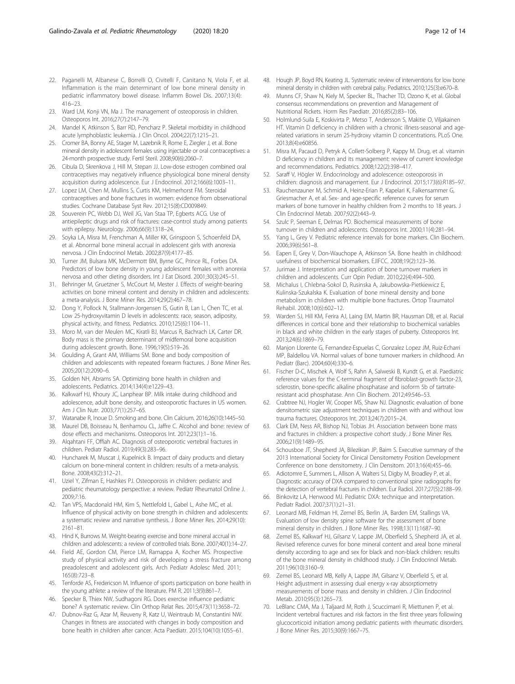- <span id="page-11-0"></span>23. Ward LM, Konji VN, Ma J. The management of osteoporosis in children. Osteoporos Int. 2016;27(7):2147–79.
- 24. Mandel K, Atkinson S, Barr RD, Pencharz P. Skeletal morbidity in childhood acute lymphoblastic leukemia. J Clin Oncol. 2004;22(7):1215–21.
- 25. Cromer BA, Bonny AE, Stager M, Lazebnik R, Rome E, Ziegler J, et al. Bone mineral density in adolescent females using injectable or oral contraceptives: a 24-month prospective study. Fertil Steril. 2008;90(6):2060–7.
- 26. Cibula D, Skrenkova J, Hill M, Stepan JJ. Low-dose estrogen combined oral contraceptives may negatively influence physiological bone mineral density acquisition during adolescence. Eur J Endocrinol. 2012;166(6):1003–11.
- 27. Lopez LM, Chen M, Mullins S, Curtis KM, Helmerhorst FM. Steroidal contraceptives and bone fractures in women: evidence from observational studies. Cochrane Database Syst Rev. 2012;15(8):CD009849.
- 28. Souverein PC, Webb DJ, Weil JG, Van Staa TP, Egberts ACG. Use of antiepileptic drugs and risk of fractures: case-control study among patients with epilepsy. Neurology. 2006;66(9):1318–24.
- 29. Soyka LA, Misra M, Frenchman A, Miller KK, Grinspoon S, Schoenfeld DA, et al. Abnormal bone mineral accrual in adolescent girls with anorexia nervosa. J Clin Endocrinol Metab. 2002;87(9):4177–85.
- 30. Turner JM, Bulsara MK, McDermott BM, Byrne GC, Prince RL, Forbes DA. Predictors of low bone density in young adolescent females with anorexia nervosa and other dieting disorders. Int J Eat Disord. 2001;30(3):245–51.
- 31. Behringer M, Gruetzner S, McCourt M, Mester J. Effects of weight-bearing activities on bone mineral content and density in children and adolescents: a meta-analysis. J Bone Miner Res. 2014;29(2):467–78.
- 32. Dong Y, Pollock N, Stallmann-Jorgensen IS, Gutin B, Lan L, Chen TC, et al. Low 25-hydroxyvitamin D levels in adolescents: race, season, adiposity, physical activity, and fitness. Pediatrics. 2010;125(6):1104–11.
- 33. Moro M, van der Meulen MC, Kiratli BJ, Marcus R, Bachrach LK, Carter DR. Body mass is the primary determinant of midfemoral bone acquisition during adolescent growth. Bone. 1996;19(5):519–26.
- 34. Goulding A, Grant AM, Williams SM. Bone and body composition of children and adolescents with repeated forearm fractures. J Bone Miner Res. 2005;20(12):2090–6.
- 35. Golden NH, Abrams SA. Optimizing bone health in children and adolescents. Pediatrics. 2014;134(4):e1229–43.
- 36. Kalkwarf HJ, Khoury JC, Lanphear BP. Milk intake during childhood and adolescence, adult bone density, and osteoporotic fractures in US women. Am J Clin Nutr. 2003;77(1):257–65.
- 37. Watanabe R, Inoue D. Smoking and bone. Clin Calcium. 2016;26(10):1445–50.
- 38. Maurel DB, Boisseau N, Benhamou CL, Jaffre C. Alcohol and bone: review of dose effects and mechanisms. Osteoporos Int. 2012;23(1):1–16.
- 39. Alqahtani FF, Offiah AC. Diagnosis of osteoporotic vertebral fractures in children. Pediatr Radiol. 2019;49(3):283–96.
- 40. Huncharek M, Muscat J, Kupelnick B. Impact of dairy products and dietary calcium on bone-mineral content in children: results of a meta-analysis. Bone. 2008;43(2):312–21.
- 41. Uziel Y, Zifman E, Hashkes PJ. Osteoporosis in children: pediatric and pediatric rheumatology perspective: a review. Pediatr Rheumatol Online J. 2009;7:16.
- 42. Tan VPS, Macdonald HM, Kim S, Nettlefold L, Gabel L, Ashe MC, et al. Influence of physical activity on bone strength in children and adolescents: a systematic review and narrative synthesis. J Bone Miner Res. 2014;29(10): 2161–81.
- 43. Hind K, Burrows M. Weight-bearing exercise and bone mineral accrual in children and adolescents: a review of controlled trials. Bone. 2007;40(1):14–27.
- 44. Field AE, Gordon CM, Pierce LM, Ramappa A, Kocher MS. Prospective study of physical activity and risk of developing a stress fracture among preadolescent and adolescent girls. Arch Pediatr Adolesc Med. 2011; 165(8):723–8.
- 45. Tenforde AS, Fredericson M. Influence of sports participation on bone health in the young athlete: a review of the literature. PM R. 2011;3(9):861–7.
- 46. Specker B, Thiex NW, Sudhagoni RG. Does exercise influence pediatric bone? A systematic review. Clin Orthop Relat Res. 2015;473(11):3658–72.
- 47. Dubnov-Raz G, Azar M, Reuveny R, Katz U, Weintraub M, Constantini NW. Changes in fitness are associated with changes in body composition and bone health in children after cancer. Acta Paediatr. 2015;104(10):1055–61.
- 48. Hough JP, Boyd RN, Keating JL. Systematic review of interventions for low bone mineral density in children with cerebral palsy. Pediatrics. 2010;125(3):e670–8.
- 49. Munns CF, Shaw N, Kiely M, Specker BL, Thacher TD, Ozono K, et al. Global consensus recommendations on prevention and Management of Nutritional Rickets. Horm Res Paediatr. 2016;85(2):83–106.
- 50. Holmlund-Suila E, Koskivirta P, Metso T, Andersson S, Makitie O, Viljakainen HT. Vitamin D deficiency in children with a chronic illness-seasonal and agerelated variations in serum 25-hydroxy vitamin D concentrations. PLoS One. 2013;8(4):e60856.
- 51. Misra M, Pacaud D, Petryk A, Collett-Solberg P, Kappy M. Drug, et al. vitamin D deficiency in children and its management: review of current knowledge and recommendations. Pediatrics. 2008;122(2):398–417.
- 52. Saraff V, Högler W. Endocrinology and adolescence: osteoporosis in children: diagnosis and management. Eur J Endocrinol. 2015;173(6):R185–97.
- 53. Rauchenzauner M, Schmid A, Heinz-Erian P, Kapelari K, Falkensammer G, Griesmacher A, et al. Sex- and age-specific reference curves for serum markers of bone turnover in healthy children from 2 months to 18 years. J Clin Endocrinol Metab. 2007;92(2):443–9.
- 54. Szulc P, Seeman E, Delmas PD. Biochemical measurements of bone turnover in children and adolescents. Osteoporos Int. 2000;11(4):281–94.
- 55. Yang L, Grey V. Pediatric reference intervals for bone markers. Clin Biochem. 2006;39(6):561–8.
- 56. Eapen E, Grey V, Don-Wauchope A, Atkinson SA. Bone health in childhood: usefulness of biochemical biomarkers. EJIFCC. 2008;19(2):123–36.
- 57. Jurimae J. Interpretation and application of bone turnover markers in children and adolescents. Curr Opin Pediatr. 2010;22(4):494–500.
- 58. Michalus I, Chlebna-Sokol D, Rusinska A, Jakubowska-Pietkiewicz E, Kulinska-Szukalska K. Evaluation of bone mineral density and bone metabolism in children with multiple bone fractures. Ortop Traumatol Rehabil. 2008;10(6):602–12.
- 59. Warden SJ, Hill KM, Ferira AJ, Laing EM, Martin BR, Hausman DB, et al. Racial differences in cortical bone and their relationship to biochemical variables in black and white children in the early stages of puberty. Osteoporos Int. 2013;24(6):1869–79.
- 60. Manjon Llorente G, Fernandez-Espuelas C, Gonzalez Lopez JM, Ruiz-Echarri MP, Baldellou VA. Normal values of bone turnover markers in childhood. An Pediatr (Barc). 2004;60(4):330–6.
- 61. Fischer D-C, Mischek A, Wolf S, Rahn A, Salweski B, Kundt G, et al. Paediatric reference values for the C-terminal fragment of fibroblast-growth factor-23, sclerostin, bone-specific alkaline phosphatase and isoform 5b of tartrateresistant acid phosphatase. Ann Clin Biochem. 2012;49:546–53.
- 62. Crabtree NJ, Hogler W, Cooper MS, Shaw NJ. Diagnostic evaluation of bone densitometric size adjustment techniques in children with and without low trauma fractures. Osteoporos Int. 2013;24(7):2015–24.
- 63. Clark EM, Ness AR, Bishop NJ, Tobias JH. Association between bone mass and fractures in children: a prospective cohort study. J Bone Miner Res. 2006;21(9):1489–95.
- 64. Schousboe JT, Shepherd JA, Bilezikian JP, Baim S. Executive summary of the 2013 International Society for Clinical Densitometry Position Development Conference on bone densitometry. J Clin Densitom. 2013;16(4):455–66.
- 65. Adiotomre E, Summers L, Allison A, Walters SJ, Digby M, Broadley P, et al. Diagnostic accuracy of DXA compared to conventional spine radiographs for the detection of vertebral fractures in children. Eur Radiol. 2017;27(5):2188–99.
- Binkovitz LA, Henwood MJ. Pediatric DXA: technique and interpretation. Pediatr Radiol. 2007;37(1):21–31.
- 67. Leonard MB, Feldman HI, Zemel BS, Berlin JA, Barden EM, Stallings VA. Evaluation of low density spine software for the assessment of bone mineral density in children. J Bone Miner Res. 1998;13(11):1687–90.
- 68. Zemel BS, Kalkwarf HJ, Gilsanz V, Lappe JM, Oberfield S, Shepherd JA, et al. Revised reference curves for bone mineral content and areal bone mineral density according to age and sex for black and non-black children: results of the bone mineral density in childhood study. J Clin Endocrinol Metab. 2011;96(10):3160–9.
- 69. Zemel BS, Leonard MB, Kelly A, Lappe JM, Gilsanz V, Oberfield S, et al. Height adjustment in assessing dual energy x-ray absorptiometry measurements of bone mass and density in children. J Clin Endocrinol Metab. 2010;95(3):1265–73.
- 70. LeBlanc CMA, Ma J, Taljaard M, Roth J, Scuccimarri R, Miettunen P, et al. Incident vertebral fractures and risk factors in the first three years following glucocorticoid initiation among pediatric patients with rheumatic disorders. J Bone Miner Res. 2015;30(9):1667–75.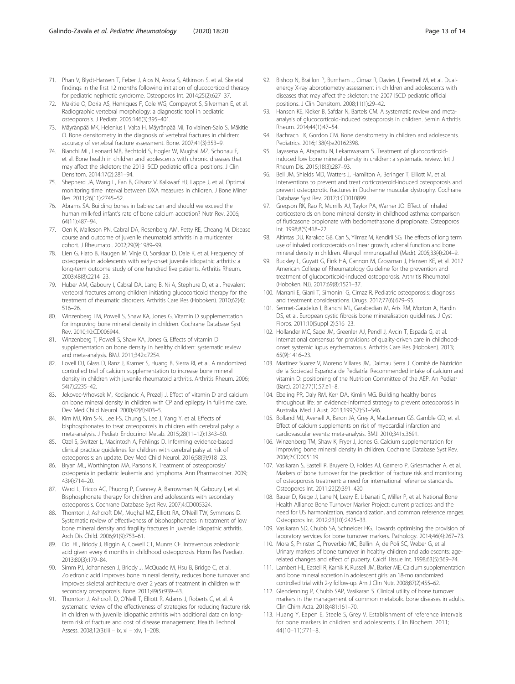- <span id="page-12-0"></span>71. Phan V, Blydt-Hansen T, Feber J, Alos N, Arora S, Atkinson S, et al. Skeletal findings in the first 12 months following initiation of glucocorticoid therapy for pediatric nephrotic syndrome. Osteoporos Int. 2014;25(2):627–37.
- 72. Makitie O, Doria AS, Henriques F, Cole WG, Compeyrot S, Silverman E, et al. Radiographic vertebral morphology: a diagnostic tool in pediatric osteoporosis. J Pediatr. 2005;146(3):395–401.
- 73. Mäyränpää MK, Helenius I, Valta H, Mäyränpää MI, Toiviainen-Salo S, Mäkitie O. Bone densitometry in the diagnosis of vertebral fractures in children: accuracy of vertebral fracture assessment. Bone. 2007;41(3):353–9.
- 74. Bianchi ML, Leonard MB, Bechtold S, Hogler W, Mughal MZ, Schonau E, et al. Bone health in children and adolescents with chronic diseases that may affect the skeleton: the 2013 ISCD pediatric official positions. J Clin Densitom. 2014;17(2):281–94.
- 75. Shepherd JA, Wang L, Fan B, Gilsanz V, Kalkwarf HJ, Lappe J, et al. Optimal monitoring time interval between DXA measures in children. J Bone Miner Res. 2011;26(11):2745–52.
- 76. Abrams SA. Building bones in babies: can and should we exceed the human milk-fed infant's rate of bone calcium accretion? Nutr Rev. 2006; 64(11):487–94.
- 77. Oen K, Malleson PN, Cabral DA, Rosenberg AM, Petty RE, Cheang M. Disease course and outcome of juvenile rheumatoid arthritis in a multicenter cohort. J Rheumatol. 2002;29(9):1989–99.
- 78. Lien G, Flato B, Haugen M, Vinje O, Sorskaar D, Dale K, et al. Frequency of osteopenia in adolescents with early-onset juvenile idiopathic arthritis: a long-term outcome study of one hundred five patients. Arthritis Rheum. 2003;48(8):2214–23.
- 79. Huber AM, Gaboury I, Cabral DA, Lang B, Ni A, Stephure D, et al. Prevalent vertebral fractures among children initiating glucocorticoid therapy for the treatment of rheumatic disorders. Arthritis Care Res (Hoboken). 2010;62(4): 516–26.
- 80. Winzenberg TM, Powell S, Shaw KA, Jones G. Vitamin D supplementation for improving bone mineral density in children. Cochrane Database Syst Rev. 2010;10:CD006944.
- 81. Winzenberg T, Powell S, Shaw KA, Jones G. Effects of vitamin D supplementation on bone density in healthy children: systematic review and meta-analysis. BMJ. 2011;342:c7254.
- 82. Lovell DJ, Glass D, Ranz J, Kramer S, Huang B, Sierra RI, et al. A randomized controlled trial of calcium supplementation to increase bone mineral density in children with juvenile rheumatoid arthritis. Arthritis Rheum. 2006; 54(7):2235–42.
- 83. Jekovec-Vrhovsek M, Kocijancic A, Prezelj J. Effect of vitamin D and calcium on bone mineral density in children with CP and epilepsy in full-time care. Dev Med Child Neurol. 2000;42(6):403–5.
- 84. Kim MJ, Kim S-N, Lee I-S, Chung S, Lee J, Yang Y, et al. Effects of bisphosphonates to treat osteoporosis in children with cerebral palsy: a meta-analysis. J Pediatr Endocrinol Metab. 2015;28(11–12):1343–50.
- 85. Ozel S, Switzer L, Macintosh A, Fehlings D. Informing evidence-based clinical practice guidelines for children with cerebral palsy at risk of osteoporosis: an update. Dev Med Child Neurol. 2016;58(9):918–23.
- 86. Bryan ML, Worthington MA, Parsons K. Treatment of osteoporosis/ osteopenia in pediatric leukemia and lymphoma. Ann Pharmacother. 2009; 43(4):714–20.
- 87. Ward L, Tricco AC, Phuong P, Cranney A, Barrowman N, Gaboury I, et al. Bisphosphonate therapy for children and adolescents with secondary osteoporosis. Cochrane Database Syst Rev. 2007;4:CD005324.
- 88. Thornton J, Ashcroft DM, Mughal MZ, Elliott RA, O'Neill TW, Symmons D. Systematic review of effectiveness of bisphosphonates in treatment of low bone mineral density and fragility fractures in juvenile idiopathic arthritis. Arch Dis Child. 2006;91(9):753–61.
- 89. Ooi HL, Briody J, Biggin A, Cowell CT, Munns CF. Intravenous zoledronic acid given every 6 months in childhood osteoporosis. Horm Res Paediatr. 2013;80(3):179–84.
- 90. Simm PJ, Johannesen J, Briody J, McQuade M, Hsu B, Bridge C, et al. Zoledronic acid improves bone mineral density, reduces bone turnover and improves skeletal architecture over 2 years of treatment in children with secondary osteoporosis. Bone. 2011;49(5):939–43.
- 91. Thornton J, Ashcroft D, O'Neill T, Elliott R, Adams J, Roberts C, et al. A systematic review of the effectiveness of strategies for reducing fracture risk in children with juvenile idiopathic arthritis with additional data on longterm risk of fracture and cost of disease management. Health Technol Assess. 2008;12(3):iii – ix, xi – xiv, 1–208.
- 92. Bishop N, Braillon P, Burnham J, Cimaz R, Davies J, Fewtrell M, et al. Dualenergy X-ray aborptiometry assessment in children and adolescents with diseases that may affect the skeleton: the 2007 ISCD pediatric official positions. J Clin Densitom. 2008;11(1):29–42.
- 93. Hansen KE, Kleker B, Safdar N, Bartels CM. A systematic review and metaanalysis of glucocorticoid-induced osteoporosis in children. Semin Arthritis Rheum. 2014;44(1):47–54.
- 94. Bachrach LK, Gordon CM. Bone densitometry in children and adolescents. Pediatrics. 2016;138(4):e20162398.
- 95. Jayasena A, Atapattu N, Lekamwasam S. Treatment of glucocorticoidinduced low bone mineral density in children: a systematic review. Int J Rheum Dis. 2015;18(3):287–93.
- 96. Bell JM, Shields MD, Watters J, Hamilton A, Beringer T, Elliott M, et al. Interventions to prevent and treat corticosteroid-induced osteoporosis and prevent osteoporotic fractures in Duchenne muscular dystrophy. Cochrane Database Syst Rev. 2017;1:CD010899.
- 97. Gregson RK, Rao R, Murrills AJ, Taylor PA, Warner JO. Effect of inhaled corticosteroids on bone mineral density in childhood asthma: comparison of fluticasone propionate with beclomethasone dipropionate. Osteoporos Int. 1998;8(5):418–22.
- 98. Altintas DU, Karakoc GB, Can S, Yilmaz M, Kendirli SG. The effects of long term use of inhaled corticosteroids on linear growth, adrenal function and bone mineral density in children. Allergol Immunopathol (Madr). 2005;33(4):204–9.
- 99. Buckley L, Guyatt G, Fink HA, Cannon M, Grossman J, Hansen KE, et al. 2017 American College of Rheumatology Guideline for the prevention and treatment of glucocorticoid-induced osteoporosis. Arthritis Rheumatol (Hoboken, NJ). 2017;69(8):1521–37.
- 100. Marrani E, Giani T, Simonini G, Cimaz R. Pediatric osteoporosis: diagnosis and treatment considerations. Drugs. 2017;77(6):679–95.
- 101. Sermet-Gaudelus I, Bianchi ML, Garabedian M, Aris RM, Morton A, Hardin DS, et al. European cystic fibrosis bone mineralisation guidelines. J Cyst Fibros. 2011;10(Suppl 2):S16–23.
- 102. Hollander MC, Sage JM, Greenler AJ, Pendl J, Avcin T, Espada G, et al. International consensus for provisions of quality-driven care in childhoodonset systemic lupus erythematosus. Arthritis Care Res (Hoboken). 2013; 65(9):1416–23.
- 103. Martinez Suarez V, Moreno Villares JM, Dalmau Serra J. Comité de Nutrición de la Sociedad Española de Pediatría. Recommended intake of calcium and vitamin D: positioning of the Nutrition Committee of the AEP. An Pediatr (Barc). 2012;77(1):57.e1–8.
- 104. Ebeling PR, Daly RM, Kerr DA, Kimlin MG. Building healthy bones throughout life: an evidence-informed strategy to prevent osteoporosis in Australia. Med J Aust. 2013;199(S7):S1–S46.
- 105. Bolland MJ, Avenell A, Baron JA, Grey A, MacLennan GS, Gamble GD, et al. Effect of calcium supplements on risk of myocardial infarction and cardiovascular events: meta-analysis. BMJ. 2010;341:c3691.
- 106. Winzenberg TM, Shaw K, Fryer J, Jones G. Calcium supplementation for improving bone mineral density in children. Cochrane Database Syst Rev. 2006;2:CD005119.
- 107. Vasikaran S, Eastell R, Bruyere O, Foldes AJ, Garnero P, Griesmacher A, et al. Markers of bone turnover for the prediction of fracture risk and monitoring of osteoporosis treatment: a need for international reference standards. Osteoporos Int. 2011;22(2):391–420.
- 108. Bauer D, Krege J, Lane N, Leary E, Libanati C, Miller P, et al. National Bone Health Alliance Bone Turnover Marker Project: current practices and the need for US harmonization, standardization, and common reference ranges. Osteoporos Int. 2012;23(10):2425–33.
- 109. Vasikaran SD, Chubb SA, Schneider HG. Towards optimising the provision of laboratory services for bone turnover markers. Pathology. 2014;46(4):267–73.
- 110. Mora S, Prinster C, Proverbio MC, Bellini A, de Poli SC, Weber G, et al. Urinary markers of bone turnover in healthy children and adolescents: agerelated changes and effect of puberty. Calcif Tissue Int. 1998;63(5):369–74.
- 111. Lambert HL, Eastell R, Karnik K, Russell JM, Barker ME. Calcium supplementation and bone mineral accretion in adolescent girls: an 18-mo randomized controlled trial with 2-y follow-up. Am J Clin Nutr. 2008;87(2):455–62.
- 112. Glendenning P, Chubb SAP, Vasikaran S. Clinical utility of bone turnover markers in the management of common metabolic bone diseases in adults. Clin Chim Acta. 2018;481:161–70.
- 113. Huang Y, Eapen E, Steele S, Grey V. Establishment of reference intervals for bone markers in children and adolescents. Clin Biochem. 2011; 44(10–11):771–8.